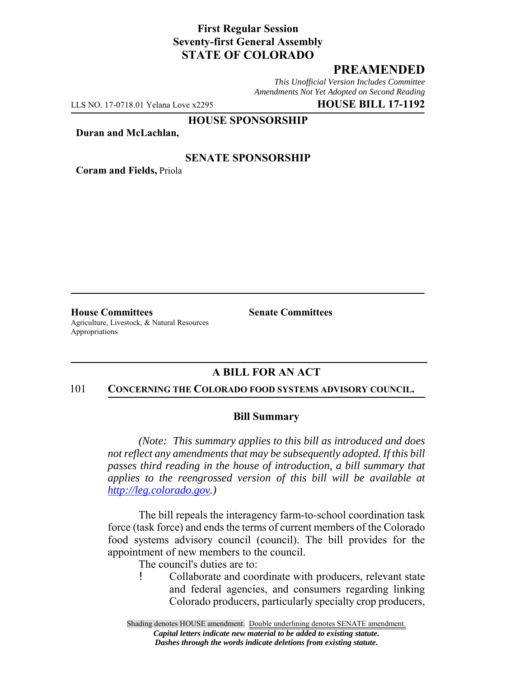## **First Regular Session Seventy-first General Assembly STATE OF COLORADO**

## **PREAMENDED**

*This Unofficial Version Includes Committee Amendments Not Yet Adopted on Second Reading*

LLS NO. 17-0718.01 Yelana Love x2295 **HOUSE BILL 17-1192**

#### **HOUSE SPONSORSHIP**

**Duran and McLachlan,**

### **SENATE SPONSORSHIP**

**Coram and Fields,** Priola

**House Committees Senate Committees** Agriculture, Livestock, & Natural Resources Appropriations

## **A BILL FOR AN ACT**

#### 101 **CONCERNING THE COLORADO FOOD SYSTEMS ADVISORY COUNCIL.**

### **Bill Summary**

*(Note: This summary applies to this bill as introduced and does not reflect any amendments that may be subsequently adopted. If this bill passes third reading in the house of introduction, a bill summary that applies to the reengrossed version of this bill will be available at http://leg.colorado.gov.)*

The bill repeals the interagency farm-to-school coordination task force (task force) and ends the terms of current members of the Colorado food systems advisory council (council). The bill provides for the appointment of new members to the council.

The council's duties are to:

! Collaborate and coordinate with producers, relevant state and federal agencies, and consumers regarding linking Colorado producers, particularly specialty crop producers,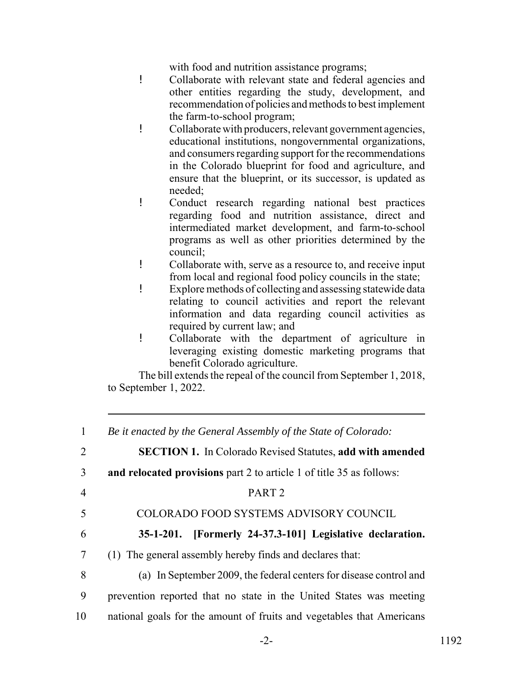with food and nutrition assistance programs;

- ! Collaborate with relevant state and federal agencies and other entities regarding the study, development, and recommendation of policies and methods to best implement the farm-to-school program;
- ! Collaborate with producers, relevant government agencies, educational institutions, nongovernmental organizations, and consumers regarding support for the recommendations in the Colorado blueprint for food and agriculture, and ensure that the blueprint, or its successor, is updated as needed;
- ! Conduct research regarding national best practices regarding food and nutrition assistance, direct and intermediated market development, and farm-to-school programs as well as other priorities determined by the council;
- ! Collaborate with, serve as a resource to, and receive input from local and regional food policy councils in the state;
- ! Explore methods of collecting and assessing statewide data relating to council activities and report the relevant information and data regarding council activities as required by current law; and
- ! Collaborate with the department of agriculture in leveraging existing domestic marketing programs that benefit Colorado agriculture.

The bill extends the repeal of the council from September 1, 2018, to September 1, 2022.

| $\mathbf{1}$   | Be it enacted by the General Assembly of the State of Colorado:       |
|----------------|-----------------------------------------------------------------------|
| $\overline{2}$ | <b>SECTION 1.</b> In Colorado Revised Statutes, add with amended      |
| 3              | and relocated provisions part 2 to article 1 of title 35 as follows:  |
| $\overline{4}$ | PART <sub>2</sub>                                                     |
| 5              | COLORADO FOOD SYSTEMS ADVISORY COUNCIL                                |
| 6              | [Formerly 24-37.3-101] Legislative declaration.<br>$35 - 1 - 201$ .   |
| $\overline{7}$ | (1) The general assembly hereby finds and declares that:              |
| 8              | (a) In September 2009, the federal centers for disease control and    |
| 9              | prevention reported that no state in the United States was meeting    |
| 10             | national goals for the amount of fruits and vegetables that Americans |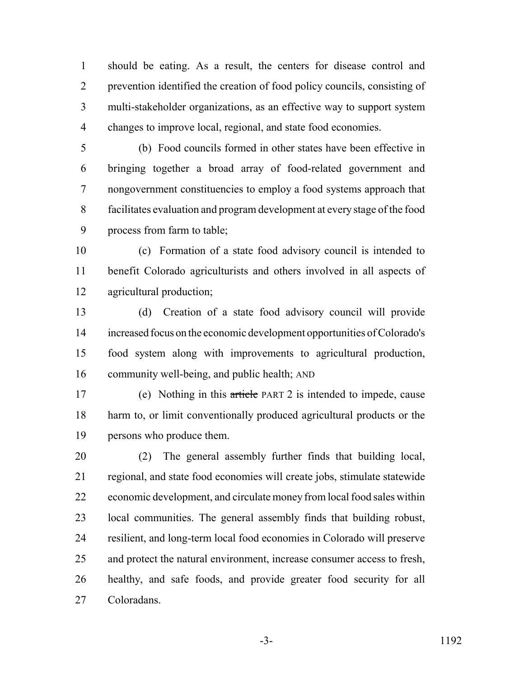should be eating. As a result, the centers for disease control and prevention identified the creation of food policy councils, consisting of multi-stakeholder organizations, as an effective way to support system changes to improve local, regional, and state food economies.

 (b) Food councils formed in other states have been effective in bringing together a broad array of food-related government and nongovernment constituencies to employ a food systems approach that facilitates evaluation and program development at every stage of the food process from farm to table;

 (c) Formation of a state food advisory council is intended to benefit Colorado agriculturists and others involved in all aspects of agricultural production;

 (d) Creation of a state food advisory council will provide increased focus on the economic development opportunities of Colorado's food system along with improvements to agricultural production, community well-being, and public health; AND

 (e) Nothing in this article PART 2 is intended to impede, cause harm to, or limit conventionally produced agricultural products or the persons who produce them.

 (2) The general assembly further finds that building local, regional, and state food economies will create jobs, stimulate statewide economic development, and circulate money from local food sales within local communities. The general assembly finds that building robust, resilient, and long-term local food economies in Colorado will preserve and protect the natural environment, increase consumer access to fresh, healthy, and safe foods, and provide greater food security for all Coloradans.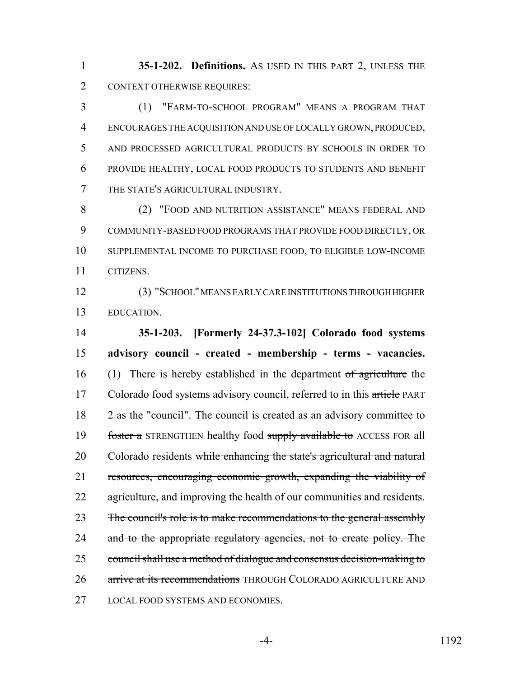**35-1-202. Definitions.** AS USED IN THIS PART 2, UNLESS THE CONTEXT OTHERWISE REQUIRES:

 (1) "FARM-TO-SCHOOL PROGRAM" MEANS A PROGRAM THAT ENCOURAGES THE ACQUISITION AND USE OF LOCALLY GROWN, PRODUCED, AND PROCESSED AGRICULTURAL PRODUCTS BY SCHOOLS IN ORDER TO PROVIDE HEALTHY, LOCAL FOOD PRODUCTS TO STUDENTS AND BENEFIT THE STATE'S AGRICULTURAL INDUSTRY.

 (2) "FOOD AND NUTRITION ASSISTANCE" MEANS FEDERAL AND COMMUNITY-BASED FOOD PROGRAMS THAT PROVIDE FOOD DIRECTLY, OR SUPPLEMENTAL INCOME TO PURCHASE FOOD, TO ELIGIBLE LOW-INCOME CITIZENS.

 (3) "SCHOOL" MEANS EARLY CARE INSTITUTIONS THROUGH HIGHER EDUCATION.

 **35-1-203. [Formerly 24-37.3-102] Colorado food systems advisory council - created - membership - terms - vacancies.** 16 (1) There is hereby established in the department of agriculture the 17 Colorado food systems advisory council, referred to in this article PART 2 as the "council". The council is created as an advisory committee to 19 foster a STRENGTHEN healthy food supply available to ACCESS FOR all 20 Colorado residents while enhancing the state's agricultural and natural resources, encouraging economic growth, expanding the viability of 22 agriculture, and improving the health of our communities and residents. 23 The council's role is to make recommendations to the general assembly 24 and to the appropriate regulatory agencies, not to create policy. The council shall use a method of dialogue and consensus decision-making to 26 arrive at its recommendations THROUGH COLORADO AGRICULTURE AND LOCAL FOOD SYSTEMS AND ECONOMIES.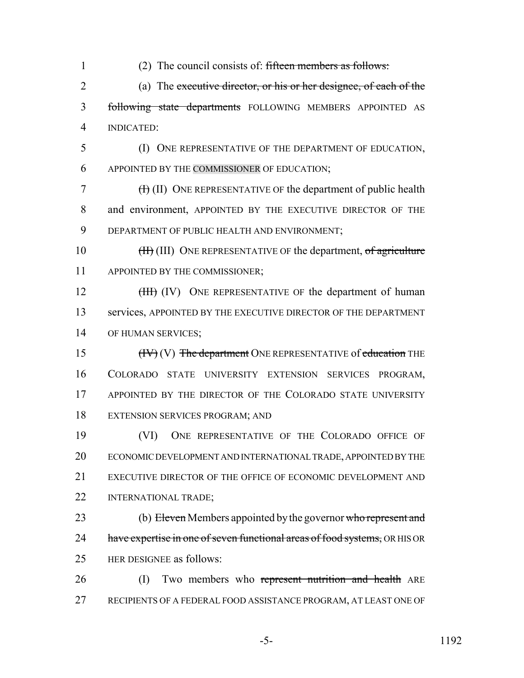- 1 (2) The council consists of: fifteen members as follows: 2 (a) The executive director, or his or her designee, of each of the 3 following state departments FOLLOWING MEMBERS APPOINTED AS 4 INDICATED:
- 5 (I) ONE REPRESENTATIVE OF THE DEPARTMENT OF EDUCATION, 6 APPOINTED BY THE COMMISSIONER OF EDUCATION;

7 (I) (II) ONE REPRESENTATIVE OF the department of public health 8 and environment, APPOINTED BY THE EXECUTIVE DIRECTOR OF THE 9 DEPARTMENT OF PUBLIC HEALTH AND ENVIRONMENT;

10 **(H) (III)** ONE REPRESENTATIVE OF the department, of agriculture 11 APPOINTED BY THE COMMISSIONER;

12 (HH) (IV) ONE REPRESENTATIVE OF the department of human 13 services, APPOINTED BY THE EXECUTIVE DIRECTOR OF THE DEPARTMENT 14 OF HUMAN SERVICES;

15 (IV) The department ONE REPRESENTATIVE of education THE 16 COLORADO STATE UNIVERSITY EXTENSION SERVICES PROGRAM, 17 APPOINTED BY THE DIRECTOR OF THE COLORADO STATE UNIVERSITY 18 EXTENSION SERVICES PROGRAM; AND

 (VI) ONE REPRESENTATIVE OF THE COLORADO OFFICE OF ECONOMIC DEVELOPMENT AND INTERNATIONAL TRADE, APPOINTED BY THE 21 EXECUTIVE DIRECTOR OF THE OFFICE OF ECONOMIC DEVELOPMENT AND INTERNATIONAL TRADE;

- 23 (b) Eleven Members appointed by the governor who represent and 24 have expertise in one of seven functional areas of food systems, OR HIS OR 25 HER DESIGNEE as follows:
- 26 (I) Two members who represent nutrition and health ARE 27 RECIPIENTS OF A FEDERAL FOOD ASSISTANCE PROGRAM, AT LEAST ONE OF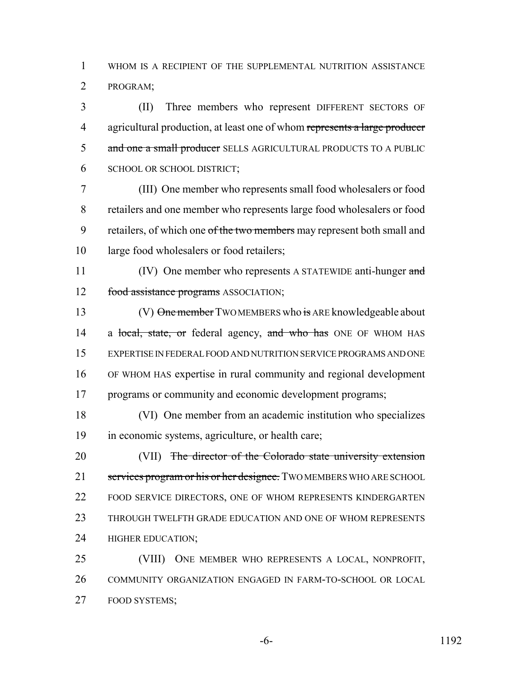WHOM IS A RECIPIENT OF THE SUPPLEMENTAL NUTRITION ASSISTANCE PROGRAM;

 (II) Three members who represent DIFFERENT SECTORS OF 4 agricultural production, at least one of whom represents a large producer 5 and one a small producer SELLS AGRICULTURAL PRODUCTS TO A PUBLIC SCHOOL OR SCHOOL DISTRICT;

 (III) One member who represents small food wholesalers or food retailers and one member who represents large food wholesalers or food 9 retailers, of which one of the two members may represent both small and large food wholesalers or food retailers;

11 (IV) One member who represents A STATEWIDE anti-hunger and 12 food assistance programs ASSOCIATION;

13 (V) One member TWO MEMBERS who is ARE knowledgeable about 14 a local, state, or federal agency, and who has ONE OF WHOM HAS EXPERTISE IN FEDERAL FOOD AND NUTRITION SERVICE PROGRAMS AND ONE OF WHOM HAS expertise in rural community and regional development programs or community and economic development programs;

 (VI) One member from an academic institution who specializes in economic systems, agriculture, or health care;

20 (VII) The director of the Colorado state university extension 21 services program or his or her designee. TWO MEMBERS WHO ARE SCHOOL 22 FOOD SERVICE DIRECTORS, ONE OF WHOM REPRESENTS KINDERGARTEN THROUGH TWELFTH GRADE EDUCATION AND ONE OF WHOM REPRESENTS HIGHER EDUCATION;

 (VIII) ONE MEMBER WHO REPRESENTS A LOCAL, NONPROFIT, COMMUNITY ORGANIZATION ENGAGED IN FARM-TO-SCHOOL OR LOCAL FOOD SYSTEMS;

-6- 1192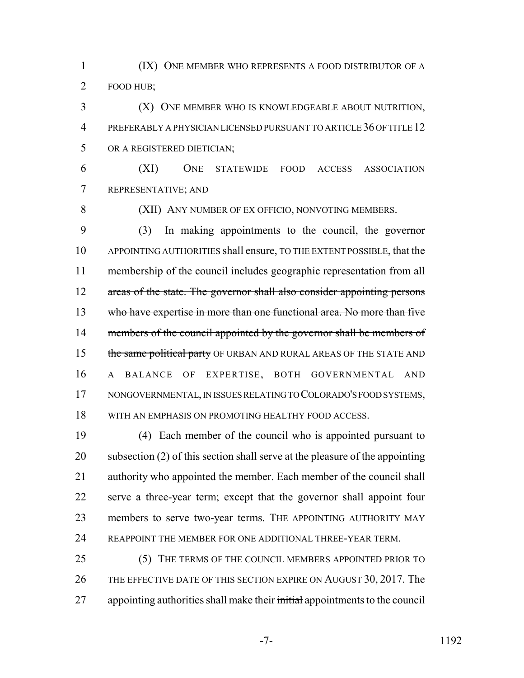1 (IX) ONE MEMBER WHO REPRESENTS A FOOD DISTRIBUTOR OF A FOOD HUB;

 (X) ONE MEMBER WHO IS KNOWLEDGEABLE ABOUT NUTRITION, PREFERABLY A PHYSICIAN LICENSED PURSUANT TO ARTICLE 36 OF TITLE 12 OR A REGISTERED DIETICIAN;

 (XI) ONE STATEWIDE FOOD ACCESS ASSOCIATION REPRESENTATIVE; AND

(XII) ANY NUMBER OF EX OFFICIO, NONVOTING MEMBERS.

 (3) In making appointments to the council, the governor APPOINTING AUTHORITIES shall ensure, TO THE EXTENT POSSIBLE, that the 11 membership of the council includes geographic representation from all 12 areas of the state. The governor shall also consider appointing persons who have expertise in more than one functional area. No more than five 14 members of the council appointed by the governor shall be members of 15 the same political party OF URBAN AND RURAL AREAS OF THE STATE AND A BALANCE OF EXPERTISE, BOTH GOVERNMENTAL AND NONGOVERNMENTAL, IN ISSUES RELATING TO COLORADO'S FOOD SYSTEMS, WITH AN EMPHASIS ON PROMOTING HEALTHY FOOD ACCESS.

 (4) Each member of the council who is appointed pursuant to subsection (2) of this section shall serve at the pleasure of the appointing authority who appointed the member. Each member of the council shall serve a three-year term; except that the governor shall appoint four members to serve two-year terms. THE APPOINTING AUTHORITY MAY REAPPOINT THE MEMBER FOR ONE ADDITIONAL THREE-YEAR TERM.

 (5) THE TERMS OF THE COUNCIL MEMBERS APPOINTED PRIOR TO 26 THE EFFECTIVE DATE OF THIS SECTION EXPIRE ON AUGUST 30, 2017. The 27 appointing authorities shall make their initial appointments to the council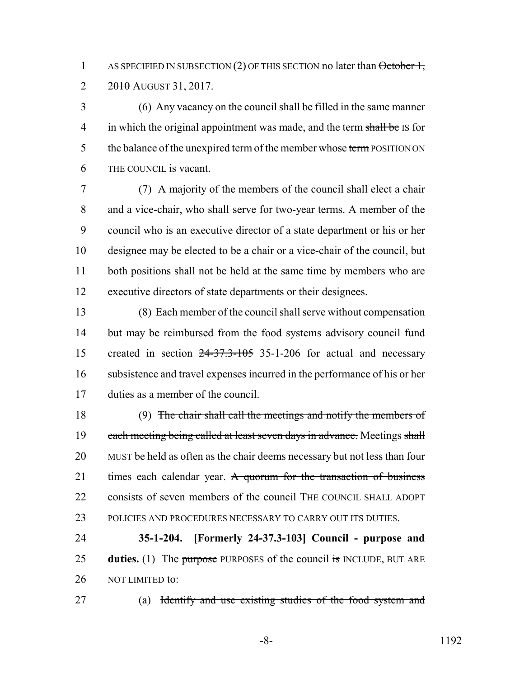1 AS SPECIFIED IN SUBSECTION (2) OF THIS SECTION no later than  $\theta$ ctober 1,  $2 \frac{2010}{2015131}$ , 2017.

 (6) Any vacancy on the council shall be filled in the same manner 4 in which the original appointment was made, and the term shall be IS for 5 the balance of the unexpired term of the member whose term POSITION ON THE COUNCIL is vacant.

 (7) A majority of the members of the council shall elect a chair and a vice-chair, who shall serve for two-year terms. A member of the council who is an executive director of a state department or his or her designee may be elected to be a chair or a vice-chair of the council, but 11 both positions shall not be held at the same time by members who are executive directors of state departments or their designees.

 (8) Each member of the council shall serve without compensation but may be reimbursed from the food systems advisory council fund created in section 24-37.3-105 35-1-206 for actual and necessary subsistence and travel expenses incurred in the performance of his or her duties as a member of the council.

 (9) The chair shall call the meetings and notify the members of 19 each meeting being called at least seven days in advance. Meetings shall MUST be held as often as the chair deems necessary but not less than four 21 times each calendar year. A quorum for the transaction of business 22 consists of seven members of the council THE COUNCIL SHALL ADOPT POLICIES AND PROCEDURES NECESSARY TO CARRY OUT ITS DUTIES.

 **35-1-204. [Formerly 24-37.3-103] Council - purpose and duties.** (1) The purpose PURPOSES of the council is INCLUDE, BUT ARE 26 NOT LIMITED to:

(a) Identify and use existing studies of the food system and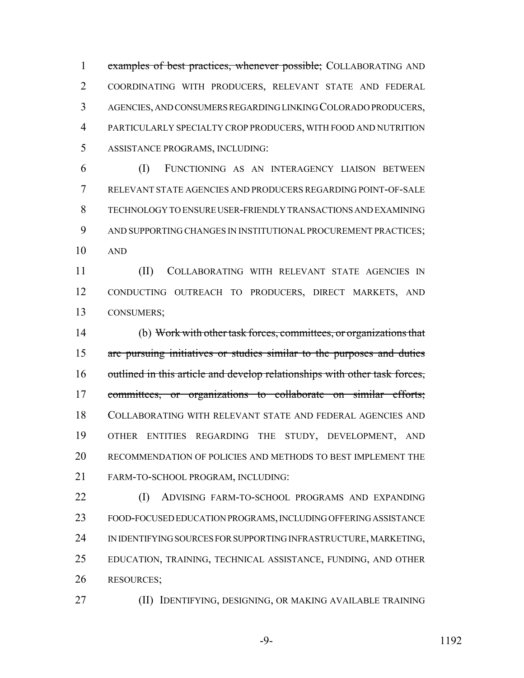1 examples of best practices, whenever possible; COLLABORATING AND COORDINATING WITH PRODUCERS, RELEVANT STATE AND FEDERAL AGENCIES, AND CONSUMERS REGARDING LINKING COLORADO PRODUCERS, PARTICULARLY SPECIALTY CROP PRODUCERS, WITH FOOD AND NUTRITION ASSISTANCE PROGRAMS, INCLUDING:

 (I) FUNCTIONING AS AN INTERAGENCY LIAISON BETWEEN RELEVANT STATE AGENCIES AND PRODUCERS REGARDING POINT-OF-SALE TECHNOLOGY TO ENSURE USER-FRIENDLY TRANSACTIONS AND EXAMINING AND SUPPORTING CHANGES IN INSTITUTIONAL PROCUREMENT PRACTICES; AND

 (II) COLLABORATING WITH RELEVANT STATE AGENCIES IN CONDUCTING OUTREACH TO PRODUCERS, DIRECT MARKETS, AND CONSUMERS;

 (b) Work with other task forces, committees, or organizations that are pursuing initiatives or studies similar to the purposes and duties 16 outlined in this article and develop relationships with other task forces, committees, or organizations to collaborate on similar efforts; COLLABORATING WITH RELEVANT STATE AND FEDERAL AGENCIES AND OTHER ENTITIES REGARDING THE STUDY, DEVELOPMENT, AND RECOMMENDATION OF POLICIES AND METHODS TO BEST IMPLEMENT THE FARM-TO-SCHOOL PROGRAM, INCLUDING:

**(I)** ADVISING FARM-TO-SCHOOL PROGRAMS AND EXPANDING FOOD-FOCUSED EDUCATION PROGRAMS, INCLUDING OFFERING ASSISTANCE IN IDENTIFYING SOURCES FOR SUPPORTING INFRASTRUCTURE, MARKETING, EDUCATION, TRAINING, TECHNICAL ASSISTANCE, FUNDING, AND OTHER RESOURCES;

(II) IDENTIFYING, DESIGNING, OR MAKING AVAILABLE TRAINING

-9- 1192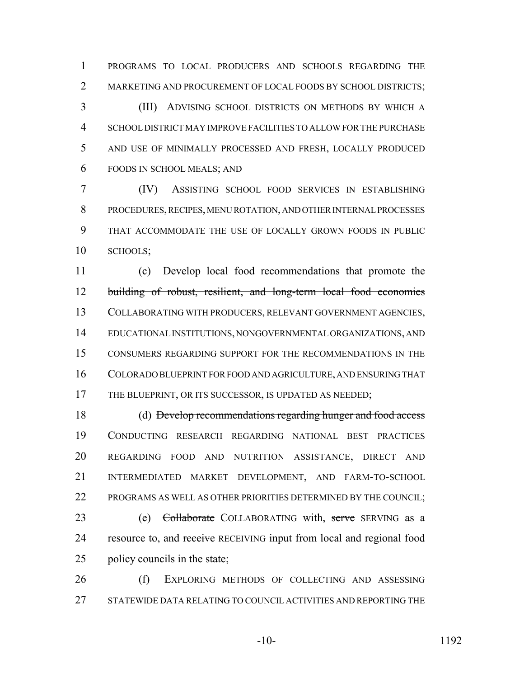PROGRAMS TO LOCAL PRODUCERS AND SCHOOLS REGARDING THE MARKETING AND PROCUREMENT OF LOCAL FOODS BY SCHOOL DISTRICTS;

 (III) ADVISING SCHOOL DISTRICTS ON METHODS BY WHICH A SCHOOL DISTRICT MAY IMPROVE FACILITIES TO ALLOW FOR THE PURCHASE AND USE OF MINIMALLY PROCESSED AND FRESH, LOCALLY PRODUCED FOODS IN SCHOOL MEALS; AND

 (IV) ASSISTING SCHOOL FOOD SERVICES IN ESTABLISHING PROCEDURES, RECIPES, MENU ROTATION, AND OTHER INTERNAL PROCESSES THAT ACCOMMODATE THE USE OF LOCALLY GROWN FOODS IN PUBLIC SCHOOLS;

 (c) Develop local food recommendations that promote the building of robust, resilient, and long-term local food economies COLLABORATING WITH PRODUCERS, RELEVANT GOVERNMENT AGENCIES, EDUCATIONAL INSTITUTIONS, NONGOVERNMENTAL ORGANIZATIONS, AND CONSUMERS REGARDING SUPPORT FOR THE RECOMMENDATIONS IN THE COLORADO BLUEPRINT FOR FOOD AND AGRICULTURE, AND ENSURING THAT 17 THE BLUEPRINT, OR ITS SUCCESSOR, IS UPDATED AS NEEDED;

 (d) Develop recommendations regarding hunger and food access CONDUCTING RESEARCH REGARDING NATIONAL BEST PRACTICES REGARDING FOOD AND NUTRITION ASSISTANCE, DIRECT AND INTERMEDIATED MARKET DEVELOPMENT, AND FARM-TO-SCHOOL PROGRAMS AS WELL AS OTHER PRIORITIES DETERMINED BY THE COUNCIL;

23 (e) Collaborate COLLABORATING with, serve SERVING as a 24 resource to, and receive RECEIVING input from local and regional food policy councils in the state;

 (f) EXPLORING METHODS OF COLLECTING AND ASSESSING STATEWIDE DATA RELATING TO COUNCIL ACTIVITIES AND REPORTING THE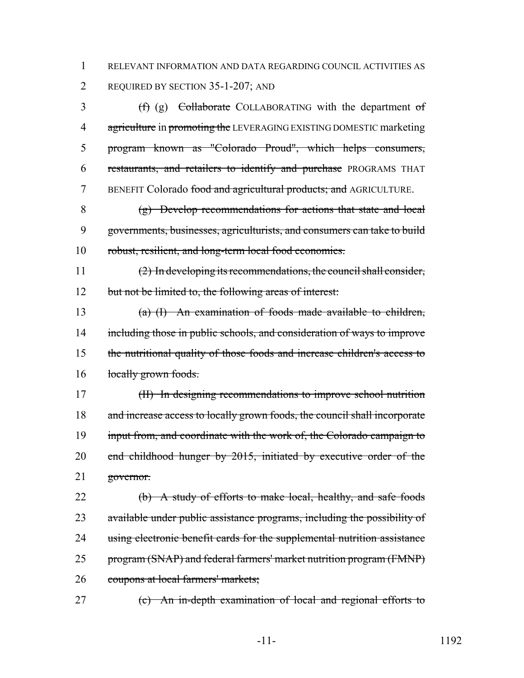1 RELEVANT INFORMATION AND DATA REGARDING COUNCIL ACTIVITIES AS 2 REQUIRED BY SECTION 35-1-207; AND

3 (f) (g) Collaborate COLLABORATING with the department of 4 agriculture in promoting the LEVERAGING EXISTING DOMESTIC marketing 5 program known as "Colorado Proud", which helps consumers, 6 restaurants, and retailers to identify and purchase PROGRAMS THAT 7 BENEFIT Colorado food and agricultural products; and AGRICULTURE.

8 (g) Develop recommendations for actions that state and local 9 governments, businesses, agriculturists, and consumers can take to build 10 robust, resilient, and long-term local food economies.

11 (2) In developing its recommendations, the council shall consider, 12 but not be limited to, the following areas of interest:

13 (a) (I) An examination of foods made available to children, 14 including those in public schools, and consideration of ways to improve 15 the nutritional quality of those foods and increase children's access to 16 locally grown foods.

17 (II) In designing recommendations to improve school nutrition 18 and increase access to locally grown foods, the council shall incorporate 19 input from, and coordinate with the work of, the Colorado campaign to 20 end childhood hunger by 2015, initiated by executive order of the 21 governor.

22 (b) A study of efforts to make local, healthy, and safe foods 23 available under public assistance programs, including the possibility of 24 using electronic benefit cards for the supplemental nutrition assistance 25 program (SNAP) and federal farmers' market nutrition program (FMNP) 26 coupons at local farmers' markets;

27 (c) An in-depth examination of local and regional efforts to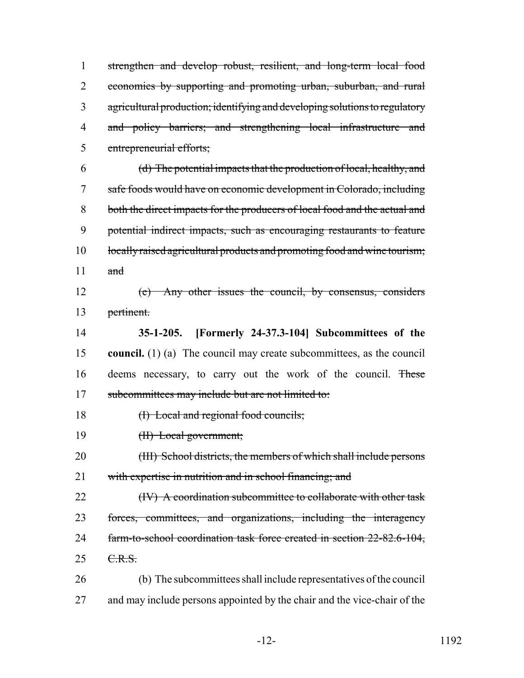strengthen and develop robust, resilient, and long-term local food economies by supporting and promoting urban, suburban, and rural agricultural production; identifying and developing solutions to regulatory and policy barriers; and strengthening local infrastructure and entrepreneurial efforts;

 (d) The potential impacts that the production of local, healthy, and safe foods would have on economic development in Colorado, including both the direct impacts for the producers of local food and the actual and potential indirect impacts, such as encouraging restaurants to feature 10 locally raised agricultural products and promoting food and wine tourism;  $\qquad$  and

 (e) Any other issues the council, by consensus, considers pertinent.

 **35-1-205. [Formerly 24-37.3-104] Subcommittees of the council.** (1) (a) The council may create subcommittees, as the council deems necessary, to carry out the work of the council. These 17 subcommittees may include but are not limited to:

18 (I) Local and regional food councils;

(II) Local government;

 (III) School districts, the members of which shall include persons with expertise in nutrition and in school financing; and

**(IV)** A coordination subcommittee to collaborate with other task forces, committees, and organizations, including the interagency farm-to-school coordination task force created in section 22-82.6-104, 25 <del>C.R.S.</del>

 (b) The subcommittees shall include representatives of the council 27 and may include persons appointed by the chair and the vice-chair of the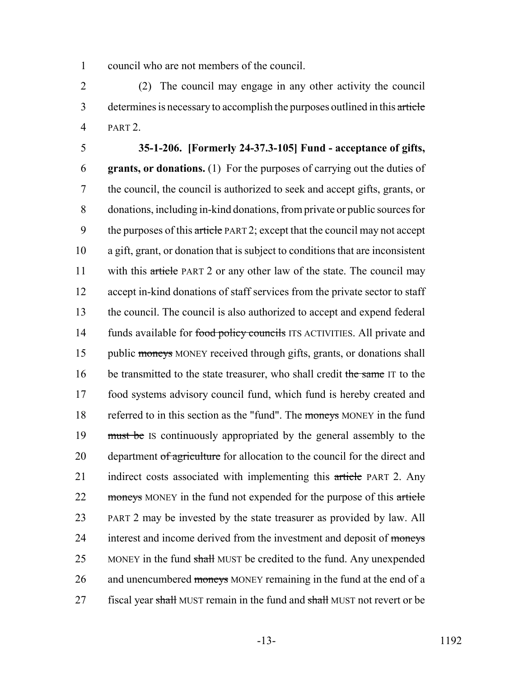1 council who are not members of the council.

2 (2) The council may engage in any other activity the council 3 determines is necessary to accomplish the purposes outlined in this article 4 PART 2.

# 5 **35-1-206. [Formerly 24-37.3-105] Fund - acceptance of gifts,**

6 **grants, or donations.** (1) For the purposes of carrying out the duties of 7 the council, the council is authorized to seek and accept gifts, grants, or 8 donations, including in-kind donations, from private or public sources for 9 the purposes of this article PART 2; except that the council may not accept 10 a gift, grant, or donation that is subject to conditions that are inconsistent 11 with this article PART 2 or any other law of the state. The council may 12 accept in-kind donations of staff services from the private sector to staff 13 the council. The council is also authorized to accept and expend federal 14 funds available for food policy councils ITS ACTIVITIES. All private and 15 public moneys MONEY received through gifts, grants, or donations shall 16 be transmitted to the state treasurer, who shall credit the same IT to the 17 food systems advisory council fund, which fund is hereby created and 18 referred to in this section as the "fund". The moneys MONEY in the fund 19 must be IS continuously appropriated by the general assembly to the 20 department of agriculture for allocation to the council for the direct and 21 indirect costs associated with implementing this article PART 2. Any 22 moneys MONEY in the fund not expended for the purpose of this article 23 PART 2 may be invested by the state treasurer as provided by law. All 24 interest and income derived from the investment and deposit of moneys 25 MONEY in the fund shall MUST be credited to the fund. Any unexpended 26 and unencumbered moneys MONEY remaining in the fund at the end of a 27 fiscal year shall MUST remain in the fund and shall MUST not revert or be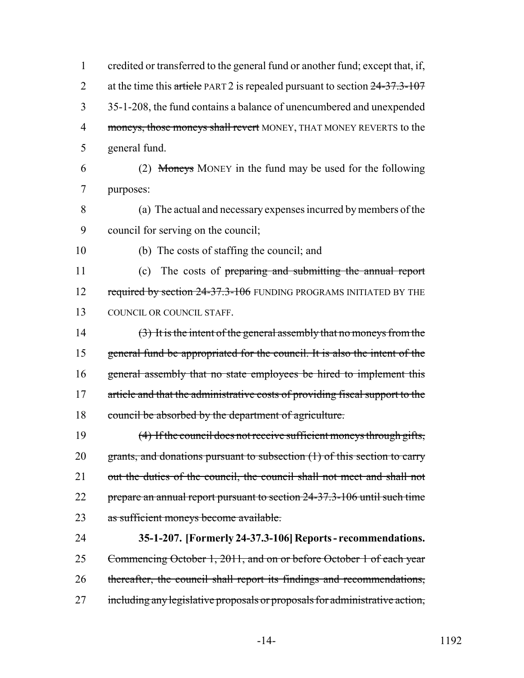| 1              | credited or transferred to the general fund or another fund; except that, if, |
|----------------|-------------------------------------------------------------------------------|
| $\overline{2}$ | at the time this article PART 2 is repealed pursuant to section $24-37.3-107$ |
| 3              | 35-1-208, the fund contains a balance of unencumbered and unexpended          |
| $\overline{4}$ | moneys, those moneys shall revert MONEY, THAT MONEY REVERTS to the            |
| 5              | general fund.                                                                 |
| 6              | (2) Moneys MONEY in the fund may be used for the following                    |
| 7              | purposes:                                                                     |
| 8              | (a) The actual and necessary expenses incurred by members of the              |
| 9              | council for serving on the council;                                           |
| 10             | (b) The costs of staffing the council; and                                    |
| 11             | The costs of preparing and submitting the annual report<br>(c)                |
| 12             | required by section 24-37.3-106 FUNDING PROGRAMS INITIATED BY THE             |
| 13             | COUNCIL OR COUNCIL STAFF.                                                     |
| 14             | (3) It is the intent of the general assembly that no moneys from the          |
| 15             | general fund be appropriated for the council. It is also the intent of the    |
| 16             | general assembly that no state employees be hired to implement this           |
| 17             | article and that the administrative costs of providing fiscal support to the  |
| 18             | council be absorbed by the department of agriculture.                         |
| 19             | (4) If the council does not receive sufficient moneys through gifts,          |
| 20             | grants, and donations pursuant to subsection (1) of this section to carry     |
| 21             | out the duties of the council, the council shall not meet and shall not       |
| 22             | prepare an annual report pursuant to section 24-37.3-106 until such time      |
| 23             | as sufficient moneys become available.                                        |
| 24             | 35-1-207. [Formerly 24-37.3-106] Reports - recommendations.                   |
| 25             | Commencing October 1, 2011, and on or before October 1 of each year           |
| 26             | thereafter, the council shall report its findings and recommendations,        |
| 27             | including any legislative proposals or proposals for administrative action,   |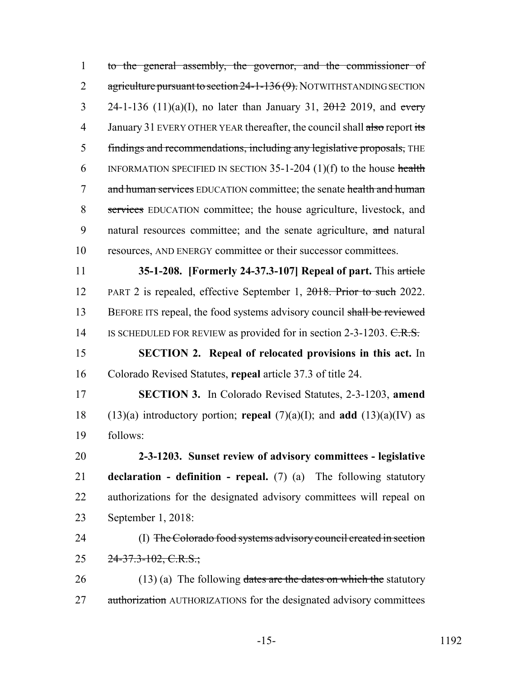to the general assembly, the governor, and the commissioner of 2 agriculture pursuant to section 24-1-136(9). NOTWITHSTANDING SECTION 3 24-1-136 (11)(a)(I), no later than January 31,  $\frac{2012}{2019}$ , and every 4 January 31 EVERY OTHER YEAR thereafter, the council shall also report its findings and recommendations, including any legislative proposals, THE 6 INFORMATION SPECIFIED IN SECTION -1-204 (1)(f) to the house health 7 and human services EDUCATION committee; the senate health and human services EDUCATION committee; the house agriculture, livestock, and 9 natural resources committee; and the senate agriculture, and natural resources, AND ENERGY committee or their successor committees.

 **35-1-208. [Formerly 24-37.3-107] Repeal of part.** This article PART 2 is repealed, effective September 1, 2018. Prior to such 2022. 13 BEFORE ITS repeal, the food systems advisory council shall be reviewed 14 IS SCHEDULED FOR REVIEW as provided for in section 2-3-1203. C.R.S.

 **SECTION 2. Repeal of relocated provisions in this act.** In Colorado Revised Statutes, **repeal** article 37.3 of title 24.

 **SECTION 3.** In Colorado Revised Statutes, 2-3-1203, **amend** (13)(a) introductory portion; **repeal** (7)(a)(I); and **add** (13)(a)(IV) as follows:

 **2-3-1203. Sunset review of advisory committees - legislative declaration - definition - repeal.** (7) (a) The following statutory authorizations for the designated advisory committees will repeal on September 1, 2018:

 (I) The Colorado food systems advisory council created in section 25  $24-37.3-102$ , C.R.S.;

26 (13) (a) The following dates are the dates on which the statutory 27 authorization AUTHORIZATIONS for the designated advisory committees